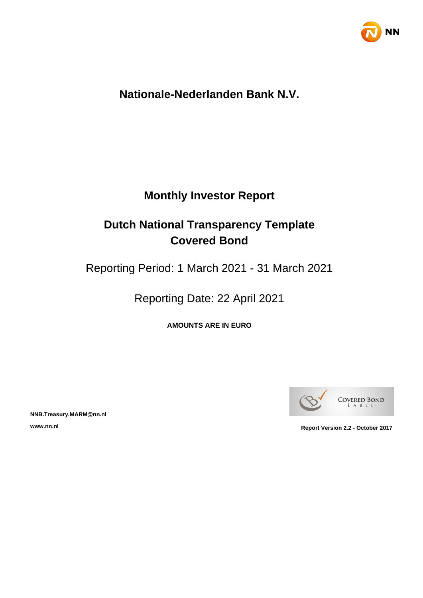

## **Nationale-Nederlanden Bank N.V.**

## **Monthly Investor Report**

## **Dutch National Transparency Template Covered Bond**

Reporting Period: 1 March 2021 - 31 March 2021

Reporting Date: 22 April 2021

**AMOUNTS ARE IN EURO**



**NNB.Treasury.MARM@nn.nl**

**www.nn.nl Report Version 2.2 - October 2017**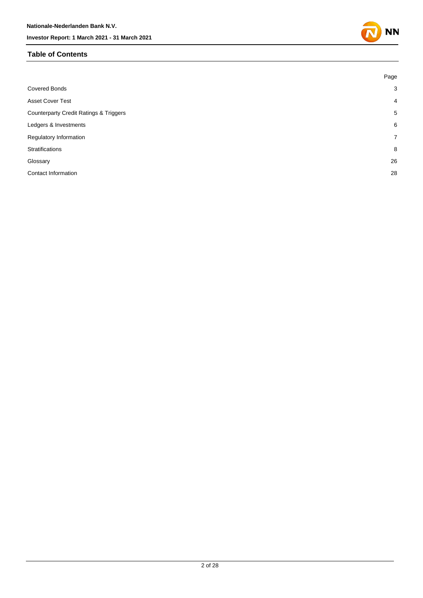#### **Table of Contents**



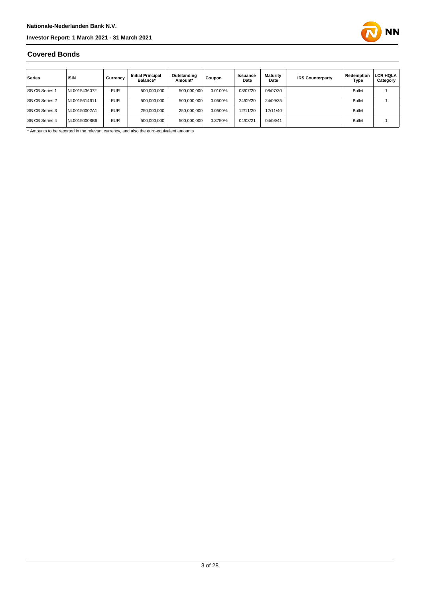

#### **Covered Bonds**

| Series                | <b>ISIN</b>  | Currency   | <b>Initial Principal</b><br>Balance* | Outstanding<br>Amount* | Coupon  | Issuance<br>Date | Maturity<br>Date | <b>IRS Counterparty</b> | Redemption<br>Type | LCR HQLA<br>Category |
|-----------------------|--------------|------------|--------------------------------------|------------------------|---------|------------------|------------------|-------------------------|--------------------|----------------------|
| <b>SB CB Series 1</b> | NL0015436072 | <b>EUR</b> | 500,000,000                          | 500,000,000            | 0.0100% | 08/07/20         | 08/07/30         |                         | <b>Bullet</b>      |                      |
| <b>SB CB Series 2</b> | NL0015614611 | <b>EUR</b> | 500.000.000                          | 500,000,000            | 0.0500% | 24/09/20         | 24/09/35         |                         | <b>Bullet</b>      |                      |
| <b>SB CB Series 3</b> | NL00150002A1 | <b>EUR</b> | 250,000,000                          | 250.000.000            | 0.0500% | 12/11/20         | 12/11/40         |                         | <b>Bullet</b>      |                      |
| <b>SB CB Series 4</b> | NL00150008B6 | <b>EUR</b> | 500,000,000                          | 500,000,000            | 0.3750% | 04/03/21         | 04/03/41         |                         | <b>Bullet</b>      |                      |

\* Amounts to be reported in the relevant currency, and also the euro-equivalent amounts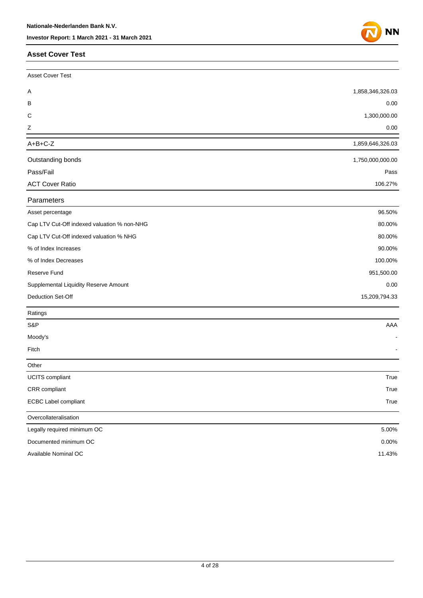#### **Asset Cover Test**



| Asset Cover Test                            |                  |
|---------------------------------------------|------------------|
| A                                           | 1,858,346,326.03 |
| в                                           | 0.00             |
| $\mathsf C$                                 | 1,300,000.00     |
| Ζ                                           | 0.00             |
| $A+B+C-Z$                                   | 1,859,646,326.03 |
| Outstanding bonds                           | 1,750,000,000.00 |
| Pass/Fail                                   | Pass             |
| <b>ACT Cover Ratio</b>                      | 106.27%          |
| Parameters                                  |                  |
| Asset percentage                            | 96.50%           |
| Cap LTV Cut-Off indexed valuation % non-NHG | 80.00%           |
| Cap LTV Cut-Off indexed valuation % NHG     | 80.00%           |
| % of Index Increases                        | 90.00%           |
| % of Index Decreases                        | 100.00%          |
| Reserve Fund                                | 951,500.00       |
| Supplemental Liquidity Reserve Amount       | 0.00             |
| Deduction Set-Off                           | 15,209,794.33    |
| Ratings                                     |                  |
| S&P                                         | AAA              |
| Moody's                                     |                  |
| Fitch                                       |                  |
| Other                                       |                  |
| UCITS compliant                             | True             |
| CRR compliant                               | True             |
| ECBC Label compliant                        | True             |
| Overcollateralisation                       |                  |
| Legally required minimum OC                 | 5.00%            |
| Documented minimum OC                       | 0.00%            |
| Available Nominal OC                        | 11.43%           |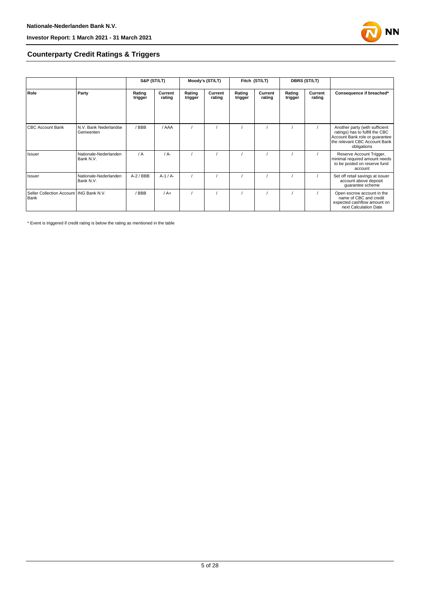

## **Counterparty Credit Ratings & Triggers**

|                                                   |                                    | S&P (ST/LT)       |                   | Moody's (ST/LT)   |                   | Fitch (ST/LT)     |                   | <b>DBRS (ST/LT)</b> |                   |                                                                                                                                                     |  |
|---------------------------------------------------|------------------------------------|-------------------|-------------------|-------------------|-------------------|-------------------|-------------------|---------------------|-------------------|-----------------------------------------------------------------------------------------------------------------------------------------------------|--|
| Role                                              | Party                              | Rating<br>trigger | Current<br>rating | Rating<br>trigger | Current<br>rating | Rating<br>trigger | Current<br>rating | Rating<br>trigger   | Current<br>rating | Consequence if breached*                                                                                                                            |  |
| <b>CBC Account Bank</b>                           | N.V. Bank Nederlandse<br>Gemeenten | / BBB             | / AAA             |                   |                   |                   |                   |                     |                   | Another party (with sufficient<br>ratings) has to fulfill the CBC<br>Account Bank role or guarantee<br>the relevant CBC Account Bank<br>obligations |  |
| Issuer                                            | Nationale-Nederlanden<br>Bank N.V. | $\sqrt{A}$        | $/A -$            |                   |                   |                   |                   |                     |                   | Reserve Account Trigger,<br>minimal required amount needs<br>to be posted on reserve fund<br>account                                                |  |
| Issuer                                            | Nationale-Nederlanden<br>Bank N.V. | $A-2$ / BBB       | $A-1/A-$          |                   |                   |                   |                   |                     |                   | Set off retail savings at issuer<br>account above deposit<br>guarantee scheme                                                                       |  |
| Seller Collection Account   ING Bank N.V.<br>Bank |                                    | / BBB             | $/A+$             |                   |                   |                   |                   |                     |                   | Open escrow account in the<br>name of CBC and credit<br>expected cashflow amount on<br>next Calculation Date                                        |  |

\* Event is triggered if credit rating is below the rating as mentioned in the table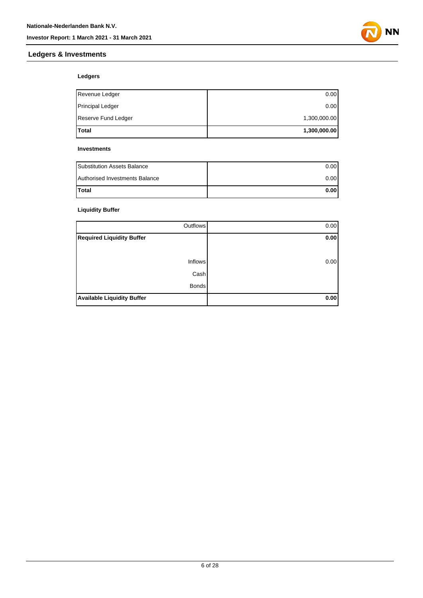

## **Ledgers**

**Ledgers & Investments**

| lTotal              | 1,300,000.00 |
|---------------------|--------------|
| Reserve Fund Ledger | 1,300,000.00 |
| Principal Ledger    | 0.00         |
| Revenue Ledger      | 0.00         |

#### **Investments**

| <b>Substitution Assets Balance</b> | 0.001 |
|------------------------------------|-------|
| Authorised Investments Balance     | 0.001 |
| <b>Total</b>                       | 0.00  |

## **Liquidity Buffer**

| Outflows                          | 0.00 |
|-----------------------------------|------|
| <b>Required Liquidity Buffer</b>  | 0.00 |
|                                   |      |
| Inflows                           | 0.00 |
| Cash                              |      |
| <b>Bonds</b>                      |      |
| <b>Available Liquidity Buffer</b> | 0.00 |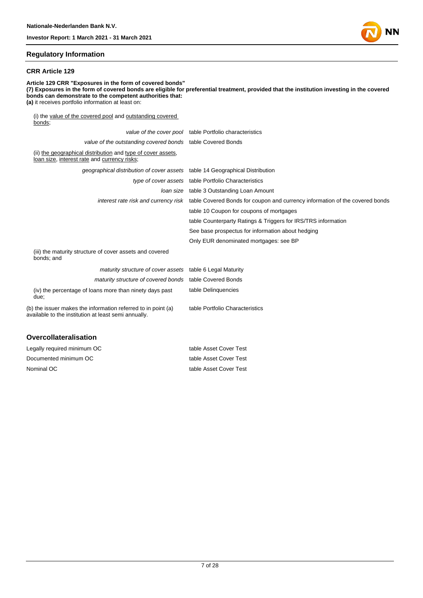## **Regulatory Information**

#### **CRR Article 129**

**Article 129 CRR "Exposures in the form of covered bonds" (7) Exposures in the form of covered bonds are eligible for preferential treatment, provided that the institution investing in the covered bonds can demonstrate to the competent authorities that: (a)** it receives portfolio information at least on: (i) the value of the covered pool and outstanding covered bonds; value of the cover pool table Portfolio characteristics

|                                                                                                                       | value of the cover poor table Fortiono characteristics                                                            |
|-----------------------------------------------------------------------------------------------------------------------|-------------------------------------------------------------------------------------------------------------------|
| value of the outstanding covered bonds table Covered Bonds                                                            |                                                                                                                   |
| (ii) the geographical distribution and type of cover assets,<br>loan size, interest rate and currency risks;          |                                                                                                                   |
| geographical distribution of cover assets table 14 Geographical Distribution                                          |                                                                                                                   |
|                                                                                                                       | type of cover assets table Portfolio Characteristics                                                              |
|                                                                                                                       | Joan size table 3 Outstanding Loan Amount                                                                         |
|                                                                                                                       | interest rate risk and currency risk table Covered Bonds for coupon and currency information of the covered bonds |
|                                                                                                                       | table 10 Coupon for coupons of mortgages                                                                          |
|                                                                                                                       | table Counterparty Ratings & Triggers for IRS/TRS information                                                     |
|                                                                                                                       | See base prospectus for information about hedging                                                                 |
|                                                                                                                       | Only EUR denominated mortgages: see BP                                                                            |
| (iii) the maturity structure of cover assets and covered<br>bonds; and                                                |                                                                                                                   |
| maturity structure of cover assets table 6 Legal Maturity                                                             |                                                                                                                   |
| maturity structure of covered bonds table Covered Bonds                                                               |                                                                                                                   |
| (iv) the percentage of loans more than ninety days past<br>due:                                                       | table Delinquencies                                                                                               |
| (b) the issuer makes the information referred to in point (a)<br>available to the institution at least semi annually. | table Portfolio Characteristics                                                                                   |
| Ouaraallataraliaatian                                                                                                 |                                                                                                                   |

| Overcollateralisation       |                        |
|-----------------------------|------------------------|
| Legally required minimum OC | table Asset Cover Test |
| Documented minimum OC       | table Asset Cover Test |

Nominal OC table Asset Cover Test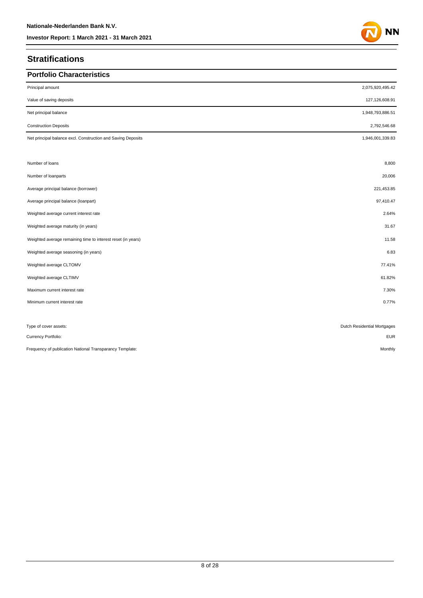## **Stratifications**

| <b>Portfolio Characteristics</b>                             |                             |
|--------------------------------------------------------------|-----------------------------|
| Principal amount                                             | 2,075,920,495.42            |
| Value of saving deposits                                     | 127,126,608.91              |
| Net principal balance                                        | 1,948,793,886.51            |
| <b>Construction Deposits</b>                                 | 2,792,546.68                |
| Net principal balance excl. Construction and Saving Deposits | 1,946,001,339.83            |
| Number of loans                                              | 8,800                       |
| Number of loanparts                                          | 20,006                      |
| Average principal balance (borrower)                         | 221,453.85                  |
| Average principal balance (loanpart)                         | 97,410.47                   |
| Weighted average current interest rate                       | 2.64%                       |
| Weighted average maturity (in years)                         | 31.67                       |
| Weighted average remaining time to interest reset (in years) | 11.58                       |
| Weighted average seasoning (in years)                        | 6.83                        |
| Weighted average CLTOMV                                      | 77.41%                      |
| Weighted average CLTIMV                                      | 61.82%                      |
| Maximum current interest rate                                | 7.30%                       |
| Minimum current interest rate                                | 0.77%                       |
|                                                              |                             |
| Type of cover assets:                                        | Dutch Residential Mortgages |
| Currency Portfolio:                                          | <b>EUR</b>                  |
| Frequency of publication National Transparancy Template:     | Monthly                     |

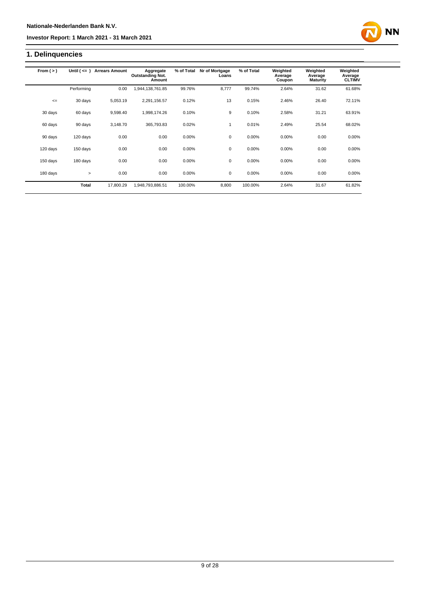## **1. Delinquencies**

| From $(>)$ | Until $($ $\leq$ $=$ $)$ | <b>Arrears Amount</b> | Aggregate<br><b>Outstanding Not.</b><br>Amount | % of Total | Nr of Mortgage<br>Loans | % of Total | Weighted<br>Average<br>Coupon | Weighted<br>Average<br><b>Maturity</b> | Weighted<br>Average<br><b>CLTIMV</b> |
|------------|--------------------------|-----------------------|------------------------------------------------|------------|-------------------------|------------|-------------------------------|----------------------------------------|--------------------------------------|
|            | Performing               | 0.00                  | 1,944,138,761.85                               | 99.76%     | 8,777                   | 99.74%     | 2.64%                         | 31.62                                  | 61.68%                               |
| $\leq$     | 30 days                  | 5.053.19              | 2.291.156.57                                   | 0.12%      | 13                      | 0.15%      | 2.46%                         | 26.40                                  | 72.11%                               |
| 30 days    | 60 days                  | 9,598.40              | 1,998,174.26                                   | 0.10%      | 9                       | 0.10%      | 2.58%                         | 31.21                                  | 63.91%                               |
| 60 days    | 90 days                  | 3.148.70              | 365,793.83                                     | 0.02%      | $\mathbf{1}$            | 0.01%      | 2.49%                         | 25.54                                  | 68.02%                               |
| 90 days    | 120 days                 | 0.00                  | 0.00                                           | 0.00%      | 0                       | 0.00%      | 0.00%                         | 0.00                                   | 0.00%                                |
| 120 days   | 150 days                 | 0.00                  | 0.00                                           | 0.00%      | $\mathbf 0$             | 0.00%      | 0.00%                         | 0.00                                   | 0.00%                                |
| 150 days   | 180 days                 | 0.00                  | 0.00                                           | 0.00%      | $\mathbf 0$             | 0.00%      | 0.00%                         | 0.00                                   | 0.00%                                |
| 180 days   | $\geq$                   | 0.00                  | 0.00                                           | 0.00%      | 0                       | 0.00%      | 0.00%                         | 0.00                                   | 0.00%                                |
|            | <b>Total</b>             | 17.800.29             | 1,948,793,886.51                               | 100.00%    | 8,800                   | 100.00%    | 2.64%                         | 31.67                                  | 61.82%                               |

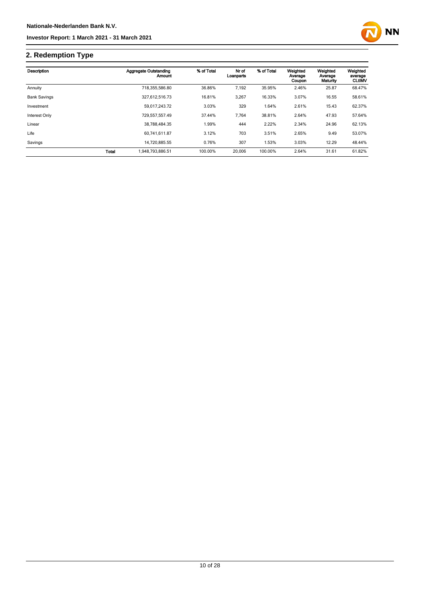

## **2. Redemption Type**

| Description         |              | <b>Aggregate Outstanding</b><br>Amount | % of Total | Nr of<br>Loanparts | % of Total | Weighted<br>Average<br>Coupon | Weighted<br>Average<br>Maturity | Weighted<br>average<br><b>CLtIMV</b> |
|---------------------|--------------|----------------------------------------|------------|--------------------|------------|-------------------------------|---------------------------------|--------------------------------------|
| Annuity             |              | 718,355,586.80                         | 36.86%     | 7,192              | 35.95%     | 2.46%                         | 25.87                           | 68.47%                               |
| <b>Bank Savings</b> |              | 327,612,516.73                         | 16.81%     | 3,267              | 16.33%     | 3.07%                         | 16.55                           | 58.61%                               |
| Investment          |              | 59.017.243.72                          | 3.03%      | 329                | 1.64%      | 2.61%                         | 15.43                           | 62.37%                               |
| Interest Only       |              | 729,557,557.49                         | 37.44%     | 7,764              | 38.81%     | 2.64%                         | 47.93                           | 57.64%                               |
| Linear              |              | 38.788.484.35                          | 1.99%      | 444                | 2.22%      | 2.34%                         | 24.96                           | 62.13%                               |
| Life                |              | 60,741,611.87                          | 3.12%      | 703                | 3.51%      | 2.65%                         | 9.49                            | 53.07%                               |
| Savings             |              | 14.720.885.55                          | 0.76%      | 307                | 1.53%      | 3.03%                         | 12.29                           | 48.44%                               |
|                     | <b>Total</b> | 1.948.793.886.51                       | 100.00%    | 20,006             | 100.00%    | 2.64%                         | 31.61                           | 61.82%                               |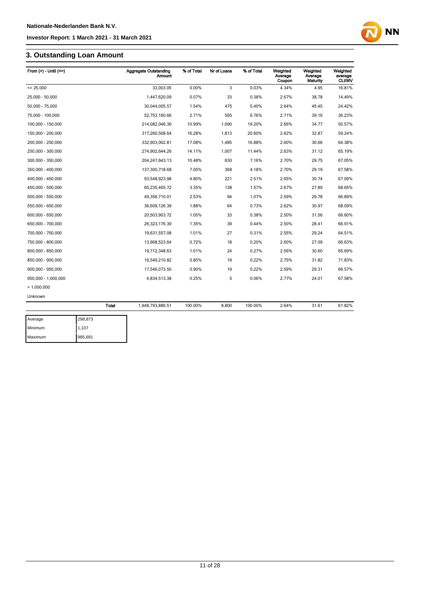## **3. Outstanding Loan Amount**

| From $(>)$ - Until $(<=)$ |              | <b>Aggregate Outstanding</b><br>Amount | % of Total | Nr of Loans | % of Total | Weighted<br>Average<br>Coupon | Weighted<br>Average<br>Maturity | Weighted<br>average<br><b>CLtIMV</b> |
|---------------------------|--------------|----------------------------------------|------------|-------------|------------|-------------------------------|---------------------------------|--------------------------------------|
| $= 25.000$                |              | 33,003.05                              | 0.00%      | 3           | 0.03%      | 4.34%                         | 4.95                            | 16.81%                               |
| 25.000 - 50.000           |              | 1.447.620.09                           | 0.07%      | 33          | 0.38%      | 2.67%                         | 38.78                           | 14.49%                               |
| 50,000 - 75,000           |              | 30,044,005.57                          | 1.54%      | 475         | 5.40%      | 2.64%                         | 45.45                           | 24.42%                               |
| 75,000 - 100,000          |              | 52,753,160.66                          | 2.71%      | 595         | 6.76%      | 2.71%                         | 39.16                           | 36.23%                               |
| 100,000 - 150,000         |              | 214,082,046.36                         | 10.99%     | 1,690       | 19.20%     | 2.66%                         | 34.77                           | 50.57%                               |
| 150,000 - 200,000         |              | 317,260,508.64                         | 16.28%     | 1,813       | 20.60%     | 2.62%                         | 32.87                           | 59.24%                               |
| 200,000 - 250,000         |              | 332,903,002.81                         | 17.08%     | 1,485       | 16.88%     | 2.60%                         | 30.66                           | 64.38%                               |
| 250,000 - 300,000         |              | 274,902,644.26                         | 14.11%     | 1,007       | 11.44%     | 2.63%                         | 31.12                           | 65.19%                               |
| 300,000 - 350,000         |              | 204, 247, 643. 13                      | 10.48%     | 630         | 7.16%      | 2.70%                         | 29.75                           | 67.05%                               |
| 350,000 - 400,000         |              | 137,300,718.68                         | 7.05%      | 368         | 4.18%      | 2.70%                         | 29.19                           | 67.58%                               |
| 400,000 - 450,000         |              | 93,548,923.98                          | 4.80%      | 221         | 2.51%      | 2.65%                         | 30.74                           | 67.09%                               |
| 450,000 - 500,000         |              | 65,235,465.72                          | 3.35%      | 138         | 1.57%      | 2.67%                         | 27.89                           | 68.65%                               |
| 500,000 - 550,000         |              | 49,356,710.01                          | 2.53%      | 94          | 1.07%      | 2.59%                         | 29.78                           | 66.89%                               |
| 550,000 - 600,000         |              | 36,609,126.39                          | 1.88%      | 64          | 0.73%      | 2.62%                         | 30.97                           | 68.09%                               |
| 600,000 - 650,000         |              | 20,503,903.72                          | 1.05%      | 33          | 0.38%      | 2.50%                         | 31.56                           | 66.60%                               |
| 650,000 - 700,000         |              | 26,323,176.39                          | 1.35%      | 39          | 0.44%      | 2.50%                         | 28.41                           | 66.91%                               |
| 700,000 - 750,000         |              | 19,631,557.08                          | 1.01%      | 27          | 0.31%      | 2.55%                         | 29.24                           | 64.51%                               |
| 750,000 - 800,000         |              | 13,968,523.64                          | 0.72%      | 18          | 0.20%      | 2.60%                         | 27.09                           | 66.63%                               |
| 800,000 - 850,000         |              | 19,712,348.63                          | 1.01%      | 24          | 0.27%      | 2.56%                         | 30.60                           | 65.69%                               |
| 850,000 - 900,000         |              | 16,549,210.82                          | 0.85%      | 19          | 0.22%      | 2.75%                         | 31.82                           | 71.83%                               |
| 900,000 - 950,000         |              | 17,546,073.50                          | 0.90%      | 19          | 0.22%      | 2.59%                         | 29.31                           | 66.57%                               |
| 950,000 - 1,000,000       |              | 4,834,513.38                           | 0.25%      | 5           | 0.06%      | 2.77%                         | 24.01                           | 67.58%                               |
| >1.000.000                |              |                                        |            |             |            |                               |                                 |                                      |
| Unknown                   |              |                                        |            |             |            |                               |                                 |                                      |
|                           | <b>Total</b> | 1,948,793,886.51                       | 100.00%    | 8,800       | 100.00%    | 2.64%                         | 31.61                           | 61.82%                               |
| Average                   | 298,873      |                                        |            |             |            |                               |                                 |                                      |

| Average | 298,873 |
|---------|---------|
| Minimum | 1.107   |
| Maximum | 985,691 |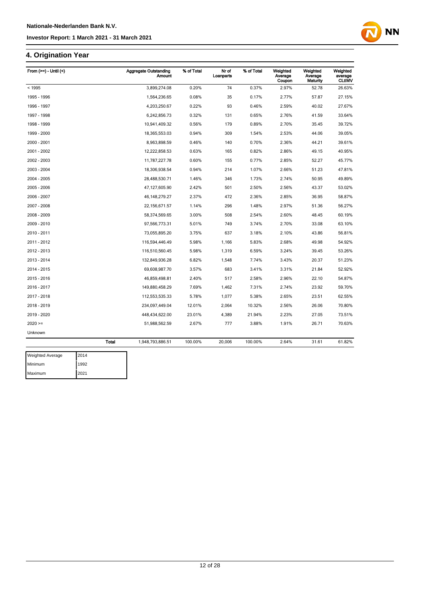## **4. Origination Year**

| From $(>=)$ - Until $($ | <b>Aggregate Outstanding</b><br><b>Amount</b> | % of Total | Nr of<br>Loanparts | % of Total | Weighted<br>Average<br>Coupon | Weighted<br>Average<br>Maturity | Weighted<br>average<br><b>CLtIMV</b> |
|-------------------------|-----------------------------------------------|------------|--------------------|------------|-------------------------------|---------------------------------|--------------------------------------|
| < 1995                  | 3,899,274.08                                  | 0.20%      | 74                 | 0.37%      | 2.97%                         | 52.78                           | 26.63%                               |
| 1995 - 1996             | 1,564,236.65                                  | 0.08%      | 35                 | 0.17%      | 2.77%                         | 57.87                           | 27.15%                               |
| 1996 - 1997             | 4,203,250.67                                  | 0.22%      | 93                 | 0.46%      | 2.59%                         | 40.02                           | 27.67%                               |
| 1997 - 1998             | 6,242,856.73                                  | 0.32%      | 131                | 0.65%      | 2.76%                         | 41.59                           | 33.64%                               |
| 1998 - 1999             | 10,941,409.32                                 | 0.56%      | 179                | 0.89%      | 2.70%                         | 35.45                           | 39.72%                               |
| 1999 - 2000             | 18,365,553.03                                 | 0.94%      | 309                | 1.54%      | 2.53%                         | 44.06                           | 39.05%                               |
| 2000 - 2001             | 8,963,898.59                                  | 0.46%      | 140                | 0.70%      | 2.36%                         | 44.21                           | 39.61%                               |
| 2001 - 2002             | 12,222,858.53                                 | 0.63%      | 165                | 0.82%      | 2.86%                         | 49.15                           | 40.95%                               |
| 2002 - 2003             | 11,787,227.78                                 | 0.60%      | 155                | 0.77%      | 2.85%                         | 52.27                           | 45.77%                               |
| 2003 - 2004             | 18,306,938.54                                 | 0.94%      | 214                | 1.07%      | 2.66%                         | 51.23                           | 47.81%                               |
| 2004 - 2005             | 28,488,530.71                                 | 1.46%      | 346                | 1.73%      | 2.74%                         | 50.95                           | 49.89%                               |
| 2005 - 2006             | 47,127,605.90                                 | 2.42%      | 501                | 2.50%      | 2.56%                         | 43.37                           | 53.02%                               |
| 2006 - 2007             | 46, 148, 279. 27                              | 2.37%      | 472                | 2.36%      | 2.85%                         | 36.95                           | 58.87%                               |
| 2007 - 2008             | 22, 156, 671.57                               | 1.14%      | 296                | 1.48%      | 2.97%                         | 51.36                           | 56.27%                               |
| 2008 - 2009             | 58,374,569.65                                 | 3.00%      | 508                | 2.54%      | 2.60%                         | 48.45                           | 60.19%                               |
| 2009 - 2010             | 97,566,773.31                                 | 5.01%      | 749                | 3.74%      | 2.70%                         | 33.08                           | 63.10%                               |
| 2010 - 2011             | 73,055,895.20                                 | 3.75%      | 637                | 3.18%      | 2.10%                         | 43.86                           | 56.81%                               |
| 2011 - 2012             | 116,594,446.49                                | 5.98%      | 1,166              | 5.83%      | 2.68%                         | 49.98                           | 54.92%                               |
| 2012 - 2013             | 116,510,560.45                                | 5.98%      | 1,319              | 6.59%      | 3.24%                         | 39.45                           | 53.26%                               |
| 2013 - 2014             | 132,849,936.28                                | 6.82%      | 1,548              | 7.74%      | 3.43%                         | 20.37                           | 51.23%                               |
| 2014 - 2015             | 69,608,987.70                                 | 3.57%      | 683                | 3.41%      | 3.31%                         | 21.84                           | 52.92%                               |
| 2015 - 2016             | 46,859,498.81                                 | 2.40%      | 517                | 2.58%      | 2.96%                         | 22.10                           | 54.87%                               |
| 2016 - 2017             | 149,880,458.29                                | 7.69%      | 1,462              | 7.31%      | 2.74%                         | 23.92                           | 59.70%                               |
| 2017 - 2018             | 112,553,535.33                                | 5.78%      | 1,077              | 5.38%      | 2.65%                         | 23.51                           | 62.55%                               |
| 2018 - 2019             | 234,097,449.04                                | 12.01%     | 2,064              | 10.32%     | 2.56%                         | 26.06                           | 70.80%                               |
| 2019 - 2020             | 448,434,622.00                                | 23.01%     | 4,389              | 21.94%     | 2.23%                         | 27.05                           | 73.51%                               |
| $2020 =$                | 51,988,562.59                                 | 2.67%      | 777                | 3.88%      | 1.91%                         | 26.71                           | 70.63%                               |
| Unknown                 |                                               |            |                    |            |                               |                                 |                                      |
|                         | <b>Total</b><br>1,948,793,886.51              | 100.00%    | 20,006             | 100.00%    | 2.64%                         | 31.61                           | 61.82%                               |

**NN** 

| <b>Weighted Average</b> | 2014 |
|-------------------------|------|
| Minimum                 | 1992 |
| Maximum                 | 2021 |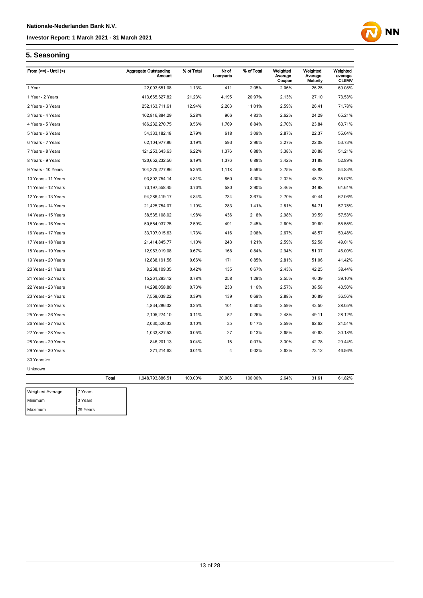## **NN**

## **5. Seasoning**

Maximum 29 Years

| From $(>=)$ - Until $($ |              | <b>Aggregate Outstanding</b><br>Amount | % of Total | Nr of<br>Loanparts | % of Total | Weighted<br>Average | Weighted<br>Average | Weighted<br>average |
|-------------------------|--------------|----------------------------------------|------------|--------------------|------------|---------------------|---------------------|---------------------|
|                         |              |                                        |            |                    |            | Coupon              | Maturity            | <b>CLtIMV</b>       |
| 1 Year                  |              | 22,093,651.08                          | 1.13%      | 411                | 2.05%      | 2.06%               | 26.25               | 69.08%              |
| 1 Year - 2 Years        |              | 413,665,627.82                         | 21.23%     | 4,195              | 20.97%     | 2.13%               | 27.10               | 73.53%              |
| 2 Years - 3 Years       |              | 252, 163, 711.61                       | 12.94%     | 2,203              | 11.01%     | 2.59%               | 26.41               | 71.78%              |
| 3 Years - 4 Years       |              | 102,816,884.29                         | 5.28%      | 966                | 4.83%      | 2.62%               | 24.29               | 65.21%              |
| 4 Years - 5 Years       |              | 186,232,270.75                         | 9.56%      | 1,769              | 8.84%      | 2.70%               | 23.84               | 60.71%              |
| 5 Years - 6 Years       |              | 54, 333, 182. 18                       | 2.79%      | 618                | 3.09%      | 2.87%               | 22.37               | 55.64%              |
| 6 Years - 7 Years       |              | 62, 104, 977.86                        | 3.19%      | 593                | 2.96%      | 3.27%               | 22.08               | 53.73%              |
| 7 Years - 8 Years       |              | 121,253,643.63                         | 6.22%      | 1,376              | 6.88%      | 3.38%               | 20.88               | 51.21%              |
| 8 Years - 9 Years       |              | 120,652,232.56                         | 6.19%      | 1,376              | 6.88%      | 3.42%               | 31.88               | 52.89%              |
| 9 Years - 10 Years      |              | 104,275,277.86                         | 5.35%      | 1,118              | 5.59%      | 2.75%               | 48.88               | 54.83%              |
| 10 Years - 11 Years     |              | 93,802,754.14                          | 4.81%      | 860                | 4.30%      | 2.32%               | 48.78               | 55.07%              |
| 11 Years - 12 Years     |              | 73, 197, 558.45                        | 3.76%      | 580                | 2.90%      | 2.46%               | 34.98               | 61.61%              |
| 12 Years - 13 Years     |              | 94,286,419.17                          | 4.84%      | 734                | 3.67%      | 2.70%               | 40.44               | 62.06%              |
| 13 Years - 14 Years     |              | 21,425,754.07                          | 1.10%      | 283                | 1.41%      | 2.81%               | 54.71               | 57.75%              |
| 14 Years - 15 Years     |              | 38,535,108.02                          | 1.98%      | 436                | 2.18%      | 2.98%               | 39.59               | 57.53%              |
| 15 Years - 16 Years     |              | 50,554,937.75                          | 2.59%      | 491                | 2.45%      | 2.60%               | 39.60               | 55.55%              |
| 16 Years - 17 Years     |              | 33,707,015.63                          | 1.73%      | 416                | 2.08%      | 2.67%               | 48.57               | 50.48%              |
| 17 Years - 18 Years     |              | 21,414,845.77                          | 1.10%      | 243                | 1.21%      | 2.59%               | 52.58               | 49.01%              |
| 18 Years - 19 Years     |              | 12,963,019.08                          | 0.67%      | 168                | 0.84%      | 2.94%               | 51.37               | 46.00%              |
| 19 Years - 20 Years     |              | 12,838,191.56                          | 0.66%      | 171                | 0.85%      | 2.81%               | 51.06               | 41.42%              |
| 20 Years - 21 Years     |              | 8,238,109.35                           | 0.42%      | 135                | 0.67%      | 2.43%               | 42.25               | 38.44%              |
| 21 Years - 22 Years     |              | 15,261,293.12                          | 0.78%      | 258                | 1.29%      | 2.55%               | 46.39               | 39.10%              |
| 22 Years - 23 Years     |              | 14,298,058.80                          | 0.73%      | 233                | 1.16%      | 2.57%               | 38.58               | 40.50%              |
| 23 Years - 24 Years     |              | 7,558,038.22                           | 0.39%      | 139                | 0.69%      | 2.88%               | 36.89               | 36.56%              |
| 24 Years - 25 Years     |              | 4,834,286.02                           | 0.25%      | 101                | 0.50%      | 2.59%               | 43.50               | 28.05%              |
| 25 Years - 26 Years     |              | 2,105,274.10                           | 0.11%      | 52                 | 0.26%      | 2.48%               | 49.11               | 28.12%              |
| 26 Years - 27 Years     |              | 2,030,520.33                           | 0.10%      | 35                 | 0.17%      | 2.59%               | 62.62               | 21.51%              |
| 27 Years - 28 Years     |              | 1,033,827.53                           | 0.05%      | 27                 | 0.13%      | 3.65%               | 40.63               | 30.18%              |
| 28 Years - 29 Years     |              | 846,201.13                             | 0.04%      | 15                 | 0.07%      | 3.30%               | 42.78               | 29.44%              |
| 29 Years - 30 Years     |              | 271,214.63                             | 0.01%      | 4                  | 0.02%      | 2.62%               | 73.12               | 46.56%              |
| $30$ Years $>=$         |              |                                        |            |                    |            |                     |                     |                     |
| Unknown                 |              |                                        |            |                    |            |                     |                     |                     |
|                         | <b>Total</b> | 1,948,793,886.51                       | 100.00%    | 20,006             | 100.00%    | 2.64%               | 31.61               | 61.82%              |
| <b>Weighted Average</b> | 7 Years      |                                        |            |                    |            |                     |                     |                     |
| Minimum                 | 0 Years      |                                        |            |                    |            |                     |                     |                     |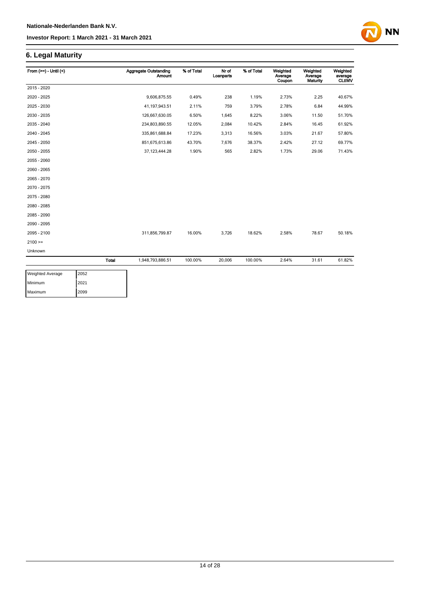## **6. Legal Maturity**

| From $(>=)$ - Until $($ |       | <b>Aggregate Outstanding</b><br><b>Amount</b> | % of Total | Nr of<br>Loanparts | % of Total | Weighted<br>Average<br>Coupon | Weighted<br>Average<br>Maturity | Weighted<br>average<br><b>CLtIMV</b> |
|-------------------------|-------|-----------------------------------------------|------------|--------------------|------------|-------------------------------|---------------------------------|--------------------------------------|
| 2015 - 2020             |       |                                               |            |                    |            |                               |                                 |                                      |
| 2020 - 2025             |       | 9,606,875.55                                  | 0.49%      | 238                | 1.19%      | 2.73%                         | 2.25                            | 40.67%                               |
| 2025 - 2030             |       | 41,197,943.51                                 | 2.11%      | 759                | 3.79%      | 2.78%                         | 6.84                            | 44.99%                               |
| 2030 - 2035             |       | 126,667,630.05                                | 6.50%      | 1,645              | 8.22%      | 3.06%                         | 11.50                           | 51.70%                               |
| 2035 - 2040             |       | 234,803,890.55                                | 12.05%     | 2,084              | 10.42%     | 2.84%                         | 16.45                           | 61.92%                               |
| 2040 - 2045             |       | 335,861,688.84                                | 17.23%     | 3,313              | 16.56%     | 3.03%                         | 21.67                           | 57.80%                               |
| 2045 - 2050             |       | 851,675,613.86                                | 43.70%     | 7,676              | 38.37%     | 2.42%                         | 27.12                           | 69.77%                               |
| 2050 - 2055             |       | 37, 123, 444. 28                              | 1.90%      | 565                | 2.82%      | 1.73%                         | 29.06                           | 71.43%                               |
| 2055 - 2060             |       |                                               |            |                    |            |                               |                                 |                                      |
| 2060 - 2065             |       |                                               |            |                    |            |                               |                                 |                                      |
| 2065 - 2070             |       |                                               |            |                    |            |                               |                                 |                                      |
| 2070 - 2075             |       |                                               |            |                    |            |                               |                                 |                                      |
| 2075 - 2080             |       |                                               |            |                    |            |                               |                                 |                                      |
| 2080 - 2085             |       |                                               |            |                    |            |                               |                                 |                                      |
| 2085 - 2090             |       |                                               |            |                    |            |                               |                                 |                                      |
| 2090 - 2095             |       |                                               |            |                    |            |                               |                                 |                                      |
| 2095 - 2100             |       | 311,856,799.87                                | 16.00%     | 3,726              | 18.62%     | 2.58%                         | 78.67                           | 50.18%                               |
| $2100 >=$               |       |                                               |            |                    |            |                               |                                 |                                      |
| Unknown                 |       |                                               |            |                    |            |                               |                                 |                                      |
|                         | Total | 1,948,793,886.51                              | 100.00%    | 20,006             | 100.00%    | 2.64%                         | 31.61                           | 61.82%                               |

**NN** 

| <b>Weighted Average</b> | 2052 |
|-------------------------|------|
| Minimum                 | 2021 |
| Maximum                 | 2099 |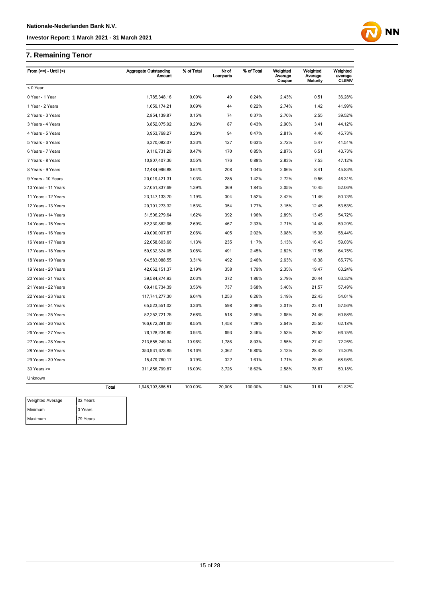## **7. Remaining Tenor**

Maximum 79 Years

| From $(>=)$ - Until $($ |              | <b>Aggregate Outstanding</b><br><b>Amount</b> | % of Total | Nr of<br>Loanparts | % of Total | Weighted<br>Average<br>Coupon | Weighted<br>Average<br>Maturity | Weighted<br>average<br><b>CLtIMV</b> |
|-------------------------|--------------|-----------------------------------------------|------------|--------------------|------------|-------------------------------|---------------------------------|--------------------------------------|
| < 0 Year                |              |                                               |            |                    |            |                               |                                 |                                      |
| 0 Year - 1 Year         |              | 1,785,348.16                                  | 0.09%      | 49                 | 0.24%      | 2.43%                         | 0.51                            | 36.28%                               |
| 1 Year - 2 Years        |              | 1,659,174.21                                  | 0.09%      | 44                 | 0.22%      | 2.74%                         | 1.42                            | 41.99%                               |
| 2 Years - 3 Years       |              | 2,854,139.87                                  | 0.15%      | 74                 | 0.37%      | 2.70%                         | 2.55                            | 39.52%                               |
| 3 Years - 4 Years       |              | 3,852,075.92                                  | 0.20%      | 87                 | 0.43%      | 2.90%                         | 3.41                            | 44.12%                               |
| 4 Years - 5 Years       |              | 3,953,768.27                                  | 0.20%      | 94                 | 0.47%      | 2.81%                         | 4.46                            | 45.73%                               |
| 5 Years - 6 Years       |              | 6,370,082.07                                  | 0.33%      | 127                | 0.63%      | 2.72%                         | 5.47                            | 41.51%                               |
| 6 Years - 7 Years       |              | 9,116,731.29                                  | 0.47%      | 170                | 0.85%      | 2.87%                         | 6.51                            | 43.73%                               |
| 7 Years - 8 Years       |              | 10,807,407.36                                 | 0.55%      | 176                | 0.88%      | 2.83%                         | 7.53                            | 47.12%                               |
| 8 Years - 9 Years       |              | 12,484,996.88                                 | 0.64%      | 208                | 1.04%      | 2.66%                         | 8.41                            | 45.83%                               |
| 9 Years - 10 Years      |              | 20,019,421.31                                 | 1.03%      | 285                | 1.42%      | 2.72%                         | 9.56                            | 46.31%                               |
| 10 Years - 11 Years     |              | 27,051,837.69                                 | 1.39%      | 369                | 1.84%      | 3.05%                         | 10.45                           | 52.06%                               |
| 11 Years - 12 Years     |              | 23, 147, 133. 70                              | 1.19%      | 304                | 1.52%      | 3.42%                         | 11.46                           | 50.73%                               |
| 12 Years - 13 Years     |              | 29,791,273.32                                 | 1.53%      | 354                | 1.77%      | 3.15%                         | 12.45                           | 53.53%                               |
| 13 Years - 14 Years     |              | 31,506,279.64                                 | 1.62%      | 392                | 1.96%      | 2.89%                         | 13.45                           | 54.72%                               |
| 14 Years - 15 Years     |              | 52,330,882.96                                 | 2.69%      | 467                | 2.33%      | 2.71%                         | 14.48                           | 59.20%                               |
| 15 Years - 16 Years     |              | 40,090,007.87                                 | 2.06%      | 405                | 2.02%      | 3.08%                         | 15.38                           | 58.44%                               |
| 16 Years - 17 Years     |              | 22,058,603.60                                 | 1.13%      | 235                | 1.17%      | 3.13%                         | 16.43                           | 59.03%                               |
| 17 Years - 18 Years     |              | 59,932,324.05                                 | 3.08%      | 491                | 2.45%      | 2.82%                         | 17.56                           | 64.75%                               |
| 18 Years - 19 Years     |              | 64,583,088.55                                 | 3.31%      | 492                | 2.46%      | 2.63%                         | 18.38                           | 65.77%                               |
| 19 Years - 20 Years     |              | 42,662,151.37                                 | 2.19%      | 358                | 1.79%      | 2.35%                         | 19.47                           | 63.24%                               |
| 20 Years - 21 Years     |              | 39,584,874.93                                 | 2.03%      | 372                | 1.86%      | 2.79%                         | 20.44                           | 63.32%                               |
| 21 Years - 22 Years     |              | 69,410,734.39                                 | 3.56%      | 737                | 3.68%      | 3.40%                         | 21.57                           | 57.49%                               |
| 22 Years - 23 Years     |              | 117,741,277.30                                | 6.04%      | 1,253              | 6.26%      | 3.19%                         | 22.43                           | 54.01%                               |
| 23 Years - 24 Years     |              | 65,523,551.02                                 | 3.36%      | 598                | 2.99%      | 3.01%                         | 23.41                           | 57.56%                               |
| 24 Years - 25 Years     |              | 52,252,721.75                                 | 2.68%      | 518                | 2.59%      | 2.65%                         | 24.46                           | 60.58%                               |
| 25 Years - 26 Years     |              | 166,672,281.00                                | 8.55%      | 1,458              | 7.29%      | 2.64%                         | 25.50                           | 62.18%                               |
| 26 Years - 27 Years     |              | 76,728,234.80                                 | 3.94%      | 693                | 3.46%      | 2.53%                         | 26.52                           | 66.75%                               |
| 27 Years - 28 Years     |              | 213,555,249.34                                | 10.96%     | 1,786              | 8.93%      | 2.55%                         | 27.42                           | 72.26%                               |
| 28 Years - 29 Years     |              | 353,931,673.85                                | 18.16%     | 3,362              | 16.80%     | 2.13%                         | 28.42                           | 74.30%                               |
| 29 Years - 30 Years     |              | 15,479,760.17                                 | 0.79%      | 322                | 1.61%      | 1.71%                         | 29.45                           | 68.98%                               |
| $30$ Years $>=$         |              | 311,856,799.87                                | 16.00%     | 3,726              | 18.62%     | 2.58%                         | 78.67                           | 50.18%                               |
| Unknown                 |              |                                               |            |                    |            |                               |                                 |                                      |
|                         | <b>Total</b> | 1,948,793,886.51                              | 100.00%    | 20,006             | 100.00%    | 2.64%                         | 31.61                           | 61.82%                               |
| <b>Weighted Average</b> | 32 Years     |                                               |            |                    |            |                               |                                 |                                      |
| Minimum                 | 0 Years      |                                               |            |                    |            |                               |                                 |                                      |

**NN**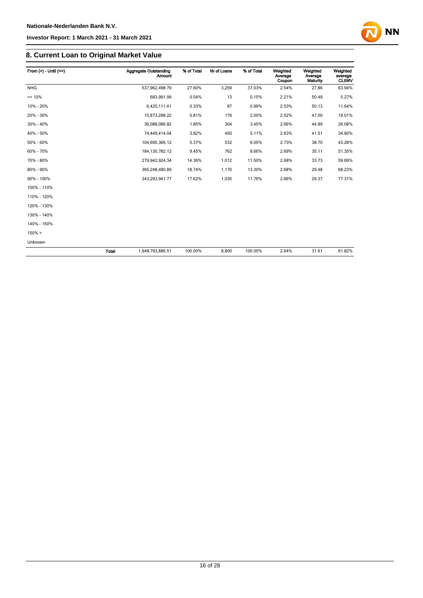# **NN**

## **8. Current Loan to Original Market Value**

| From $(>)$ - Until $(<=)$ |       | <b>Aggregate Outstanding</b><br><b>Amount</b> | % of Total | Nr of Loans | % of Total | Weighted<br>Average<br>Coupon | Weighted<br>Average<br>Maturity | Weighted<br>average<br><b>CLtIMV</b> |
|---------------------------|-------|-----------------------------------------------|------------|-------------|------------|-------------------------------|---------------------------------|--------------------------------------|
| <b>NHG</b>                |       | 537,962,498.79                                | 27.60%     | 3,259       | 37.03%     | 2.54%                         | 27.86                           | 63.94%                               |
| $= 10%$                   |       | 683,991.99                                    | 0.04%      | 13          | 0.15%      | 2.21%                         | 50.49                           | 5.27%                                |
| 10% - 20%                 |       | 6,425,111.41                                  | 0.33%      | 87          | 0.99%      | 2.53%                         | 50.13                           | 11.64%                               |
| 20% - 30%                 |       | 15,873,288.22                                 | 0.81%      | 176         | 2.00%      | 2.52%                         | 47.00                           | 19.01%                               |
| 30% - 40%                 |       | 36,088,086.82                                 | 1.85%      | 304         | 3.45%      | 2.66%                         | 44.89                           | 26.08%                               |
| 40% - 50%                 |       | 74,449,414.04                                 | 3.82%      | 450         | 5.11%      | 2.63%                         | 41.51                           | 34.80%                               |
| 50% - 60%                 |       | 104,695,366.12                                | 5.37%      | 532         | 6.05%      | 2.73%                         | 38.70                           | 43.28%                               |
| 60% - 70%                 |       | 184, 130, 782. 12                             | 9.45%      | 762         | 8.66%      | 2.69%                         | 35.11                           | 51.35%                               |
| 70% - 80%                 |       | 279,942,924.34                                | 14.36%     | 1,012       | 11.50%     | 2.68%                         | 33.73                           | 59.69%                               |
| 80% - 90%                 |       | 365,248,480.89                                | 18.74%     | 1,170       | 13.30%     | 2.68%                         | 29.48                           | 68.23%                               |
| 90% - 100%                |       | 343,293,941.77                                | 17.62%     | 1,035       | 11.76%     | 2.66%                         | 29.37                           | 77.31%                               |
| 100% - 110%               |       |                                               |            |             |            |                               |                                 |                                      |
| 110% - 120%               |       |                                               |            |             |            |                               |                                 |                                      |
| 120% - 130%               |       |                                               |            |             |            |                               |                                 |                                      |
| 130% - 140%               |       |                                               |            |             |            |                               |                                 |                                      |
| 140% - 150%               |       |                                               |            |             |            |                               |                                 |                                      |
| 150% >                    |       |                                               |            |             |            |                               |                                 |                                      |
| Unknown                   |       |                                               |            |             |            |                               |                                 |                                      |
|                           | Total | 1,948,793,886.51                              | 100.00%    | 8,800       | 100.00%    | 2.64%                         | 31.61                           | 61.82%                               |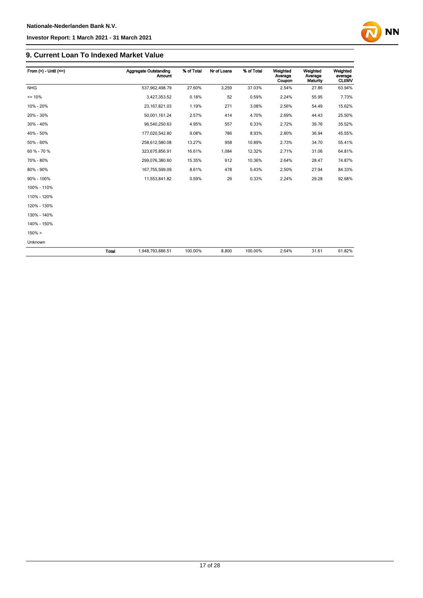

## **9. Current Loan To Indexed Market Value**

| From $(>)$ - Until $(<=)$ |              | <b>Aggregate Outstanding</b><br><b>Amount</b> | % of Total | Nr of Loans | % of Total | Weighted<br>Average<br>Coupon | Weighted<br>Average<br>Maturity | Weighted<br>average<br><b>CLtIMV</b> |
|---------------------------|--------------|-----------------------------------------------|------------|-------------|------------|-------------------------------|---------------------------------|--------------------------------------|
| <b>NHG</b>                |              | 537,962,498.79                                | 27.60%     | 3,259       | 37.03%     | 2.54%                         | 27.86                           | 63.94%                               |
| $= 10%$                   |              | 3,427,353.52                                  | 0.18%      | 52          | 0.59%      | 2.24%                         | 55.95                           | 7.73%                                |
| 10% - 20%                 |              | 23, 167, 821.03                               | 1.19%      | 271         | 3.08%      | 2.56%                         | 54.49                           | 15.62%                               |
| 20% - 30%                 |              | 50,001,161.24                                 | 2.57%      | 414         | 4.70%      | 2.69%                         | 44.43                           | 25.50%                               |
| 30% - 40%                 |              | 96,540,250.63                                 | 4.95%      | 557         | 6.33%      | 2.72%                         | 39.76                           | 35.52%                               |
| 40% - 50%                 |              | 177,020,542.80                                | 9.08%      | 786         | 8.93%      | 2.80%                         | 36.94                           | 45.55%                               |
| 50% - 60%                 |              | 258,612,580.08                                | 13.27%     | 958         | 10.89%     | 2.73%                         | 34.70                           | 55.41%                               |
| 60 % - 70 %               |              | 323,675,856.91                                | 16.61%     | 1,084       | 12.32%     | 2.71%                         | 31.06                           | 64.81%                               |
| 70% - 80%                 |              | 299,076,380.60                                | 15.35%     | 912         | 10.36%     | 2.64%                         | 28.47                           | 74.87%                               |
| 80% - 90%                 |              | 167,755,599.09                                | 8.61%      | 478         | 5.43%      | 2.50%                         | 27.94                           | 84.33%                               |
| 90% - 100%                |              | 11,553,841.82                                 | 0.59%      | 29          | 0.33%      | 2.24%                         | 29.28                           | 92.68%                               |
| 100% - 110%               |              |                                               |            |             |            |                               |                                 |                                      |
| 110% - 120%               |              |                                               |            |             |            |                               |                                 |                                      |
| 120% - 130%               |              |                                               |            |             |            |                               |                                 |                                      |
| 130% - 140%               |              |                                               |            |             |            |                               |                                 |                                      |
| 140% - 150%               |              |                                               |            |             |            |                               |                                 |                                      |
| $150\% >$                 |              |                                               |            |             |            |                               |                                 |                                      |
| Unknown                   |              |                                               |            |             |            |                               |                                 |                                      |
|                           | <b>Total</b> | 1,948,793,886.51                              | 100.00%    | 8,800       | 100.00%    | 2.64%                         | 31.61                           | 61.82%                               |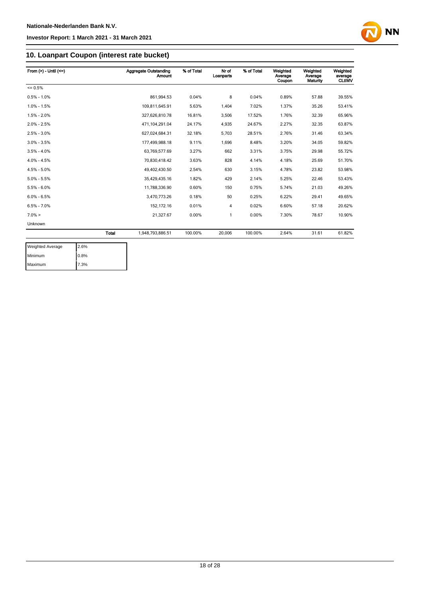

## **10. Loanpart Coupon (interest rate bucket)**

| From $(>) -$ Until $(<=)$ |       | Aggregate Outstanding<br><b>Amount</b> | % of Total | Nr of<br>Loanparts | % of Total | Weighted<br>Average<br>Coupon | Weighted<br>Average<br>Maturity | Weighted<br>average<br><b>CLtIMV</b> |
|---------------------------|-------|----------------------------------------|------------|--------------------|------------|-------------------------------|---------------------------------|--------------------------------------|
| $= 0.5%$                  |       |                                        |            |                    |            |                               |                                 |                                      |
| $0.5\% - 1.0\%$           |       | 861.994.53                             | 0.04%      | 8                  | 0.04%      | 0.89%                         | 57.88                           | 39.55%                               |
| $1.0\% - 1.5\%$           |       | 109,811,645.91                         | 5.63%      | 1,404              | 7.02%      | 1.37%                         | 35.26                           | 53.41%                               |
| $1.5\% - 2.0\%$           |       | 327,626,810.78                         | 16.81%     | 3,506              | 17.52%     | 1.76%                         | 32.39                           | 65.96%                               |
| $2.0\% - 2.5\%$           |       | 471,104,291.04                         | 24.17%     | 4,935              | 24.67%     | 2.27%                         | 32.35                           | 63.87%                               |
| $2.5\% - 3.0\%$           |       | 627,024,684.31                         | 32.18%     | 5,703              | 28.51%     | 2.76%                         | 31.46                           | 63.34%                               |
| $3.0\% - 3.5\%$           |       | 177,499,988.18                         | 9.11%      | 1,696              | 8.48%      | 3.20%                         | 34.05                           | 59.82%                               |
| $3.5\% - 4.0\%$           |       | 63,769,577.69                          | 3.27%      | 662                | 3.31%      | 3.75%                         | 29.98                           | 55.72%                               |
| $4.0\% - 4.5\%$           |       | 70,830,418.42                          | 3.63%      | 828                | 4.14%      | 4.18%                         | 25.69                           | 51.70%                               |
| $4.5\% - 5.0\%$           |       | 49.402.430.50                          | 2.54%      | 630                | 3.15%      | 4.78%                         | 23.82                           | 53.98%                               |
| $5.0\% - 5.5\%$           |       | 35,429,435.16                          | 1.82%      | 429                | 2.14%      | 5.25%                         | 22.46                           | 53.43%                               |
| $5.5\% - 6.0\%$           |       | 11,788,336.90                          | 0.60%      | 150                | 0.75%      | 5.74%                         | 21.03                           | 49.26%                               |
| $6.0\% - 6.5\%$           |       | 3,470,773.26                           | 0.18%      | 50                 | 0.25%      | 6.22%                         | 29.41                           | 49.65%                               |
| $6.5\% - 7.0\%$           |       | 152,172.16                             | 0.01%      | 4                  | 0.02%      | 6.60%                         | 57.18                           | 20.62%                               |
| $7.0\% >$                 |       | 21,327.67                              | 0.00%      | 1                  | 0.00%      | 7.30%                         | 78.67                           | 10.90%                               |
| Unknown                   |       |                                        |            |                    |            |                               |                                 |                                      |
|                           | Total | 1,948,793,886.51                       | 100.00%    | 20,006             | 100.00%    | 2.64%                         | 31.61                           | 61.82%                               |

| <b>Weighted Average</b> | 2.6% |
|-------------------------|------|
| Minimum                 | 0.8% |
| Maximum                 | 7.3% |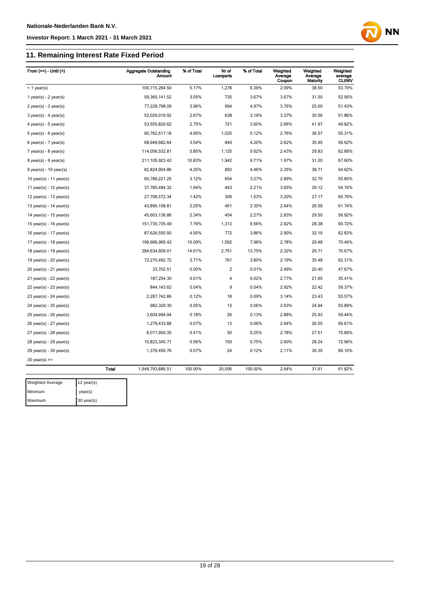## **11. Remaining Interest Rate Fixed Period**

| From $(>=)$ - Until $($     |              | <b>Aggregate Outstanding</b><br><b>Amount</b> | % of Total | Nr of<br>Loanparts | % of Total | Weighted<br>Average<br>Coupon | Weighted<br>Average<br>Maturity | Weighted<br>average<br><b>CLUMV</b> |
|-----------------------------|--------------|-----------------------------------------------|------------|--------------------|------------|-------------------------------|---------------------------------|-------------------------------------|
| $<$ 1 year(s)               |              | 100,715,284.50                                | 5.17%      | 1,278              | 6.39%      | 2.09%                         | 38.50                           | 53.70%                              |
| 1 year(s) - $2$ year(s)     |              | 59,360,141.52                                 | 3.05%      | 735                | 3.67%      | 3.67%                         | 31.50                           | 52.95%                              |
| $2$ year(s) - $3$ year(s)   |              | 77,228,798.09                                 | 3.96%      | 994                | 4.97%      | 3.76%                         | 25.00                           | 51.43%                              |
| $3$ year(s) - 4 year(s)     |              | 52,029,019.92                                 | 2.67%      | 638                | 3.19%      | 3.37%                         | 30.56                           | 51.86%                              |
| $4$ year(s) - $5$ year(s)   |              | 53,555,820.62                                 | 2.75%      | 721                | 3.60%      | 2.66%                         | 41.97                           | 49.82%                              |
| $5$ year(s) - $6$ year(s)   |              | 90,762,517.18                                 | 4.66%      | 1,025              | 5.12%      | 2.76%                         | 36.57                           | 55.31%                              |
| $6$ year(s) - 7 year(s)     |              | 68,949,682.64                                 | 3.54%      | 840                | 4.20%      | 2.62%                         | 35.95                           | 56.62%                              |
| 7 year(s) - 8 year(s)       |              | 114,056,532.81                                | 5.85%      | 1,125              | 5.62%      | 2.43%                         | 29.83                           | 62.89%                              |
| $8$ year(s) - $9$ year(s)   |              | 211, 105, 923.42                              | 10.83%     | 1,942              | 9.71%      | 1.97%                         | 31.20                           | 67.60%                              |
| $9$ year(s) - 10 year(s)    |              | 82,824,904.86                                 | 4.25%      | 892                | 4.46%      | 2.35%                         | 38.71                           | 54.62%                              |
| 10 year(s) - 11 year(s)     |              | 60,789,221.25                                 | 3.12%      | 654                | 3.27%      | 2.89%                         | 32.75                           | 55.80%                              |
| 11 year(s) - 12 year(s)     |              | 37,785,484.32                                 | 1.94%      | 443                | 2.21%      | 3.65%                         | 29.12                           | 54.74%                              |
| 12 year(s) - 13 year(s)     |              | 27,708,572.34                                 | 1.42%      | 306                | 1.53%      | 3.20%                         | 27.17                           | 60.76%                              |
| 13 year(s) - $14$ year(s)   |              | 43,890,108.81                                 | 2.25%      | 461                | 2.30%      | 2.64%                         | 26.59                           | 61.74%                              |
| 14 year(s) - 15 year(s)     |              | 45,603,136.86                                 | 2.34%      | 454                | 2.27%      | 2.83%                         | 29.50                           | 56.92%                              |
| 15 year(s) - 16 year(s)     |              | 151,735,735.49                                | 7.79%      | 1,313              | 6.56%      | 2.92%                         | 28.38                           | 60.72%                              |
| 16 year(s) - $17$ year(s)   |              | 87,626,550.50                                 | 4.50%      | 772                | 3.86%      | 2.90%                         | 32.19                           | 62.83%                              |
| 17 year(s) - 18 year(s)     |              | 196,666,995.42                                | 10.09%     | 1,592              | 7.96%      | 2.78%                         | 29.48                           | 70.49%                              |
| 18 year(s) - 19 year(s)     |              | 284,634,609.01                                | 14.61%     | 2,751              | 13.75%     | 2.32%                         | 29.71                           | 70.67%                              |
| 19 year(s) - $20$ year(s)   |              | 72,270,492.72                                 | 3.71%      | 761                | 3.80%      | 2.19%                         | 35.48                           | 62.31%                              |
| 20 year(s) - 21 year(s)     |              | 33,702.51                                     | 0.00%      | $\overline{c}$     | 0.01%      | 2.49%                         | 20.40                           | 47.67%                              |
| 21 year(s) - 22 year(s)     |              | 187,254.30                                    | 0.01%      | $\overline{4}$     | 0.02%      | 2.77%                         | 21.65                           | 35.41%                              |
| $22$ year(s) - $23$ year(s) |              | 844,143.62                                    | 0.04%      | 9                  | 0.04%      | 2.92%                         | 22.42                           | 59.37%                              |
| $23$ year(s) - $24$ year(s) |              | 2,287,742.86                                  | 0.12%      | 18                 | 0.09%      | 3.14%                         | 23.43                           | 55.57%                              |
| 24 year(s) - 25 year(s)     |              | 982,329.30                                    | 0.05%      | 13                 | 0.06%      | 2.63%                         | 24.94                           | 55.89%                              |
| $25$ year(s) - $26$ year(s) |              | 3,604,994.94                                  | 0.18%      | 26                 | 0.13%      | 2.88%                         | 25.93                           | 59.44%                              |
| 26 year(s) - 27 year(s)     |              | 1,279,433.88                                  | 0.07%      | 13                 | 0.06%      | 2.94%                         | 26.55                           | 66.61%                              |
| 27 year(s) - 28 year(s)     |              | 8,071,950.35                                  | 0.41%      | 50                 | 0.25%      | 2.78%                         | 27.51                           | 75.89%                              |
| $28$ year(s) - $29$ year(s) |              | 10,823,345.71                                 | 0.56%      | 150                | 0.75%      | 2.60%                         | 28.24                           | 72.96%                              |
| $29$ year(s) - $30$ year(s) |              | 1,379,456.76                                  | 0.07%      | 24                 | 0.12%      | 2.11%                         | 30.35                           | 66.10%                              |
| $30$ year(s) >=             |              |                                               |            |                    |            |                               |                                 |                                     |
|                             | <b>Total</b> | 1,948,793,886.51                              | 100.00%    | 20,006             | 100.00%    | 2.64%                         | 31.61                           | 61.82%                              |
| <b>Weighted Average</b>     | 12 year(s)   |                                               |            |                    |            |                               |                                 |                                     |

**NN** 

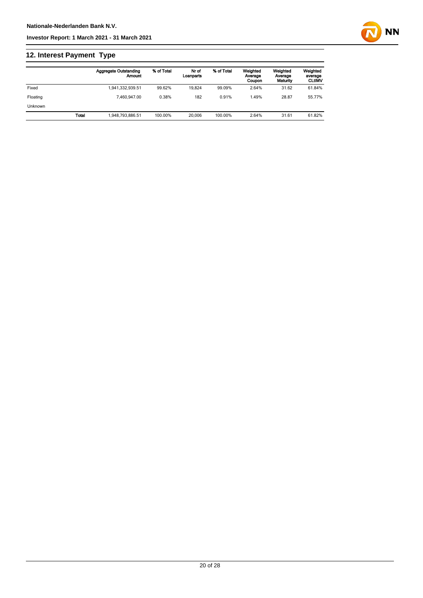## **12. Interest Payment Type**

|                |              | <b>Aggregate Outstanding</b><br>Amount | % of Total | Nr of<br>Loanparts | % of Total | Weighted<br>Average<br>Coupon | Weighted<br>Average<br>Maturity | Weighted<br>average<br><b>CLtIMV</b> |
|----------------|--------------|----------------------------------------|------------|--------------------|------------|-------------------------------|---------------------------------|--------------------------------------|
| Fixed          |              | 1,941,332,939.51                       | 99.62%     | 19.824             | 99.09%     | 2.64%                         | 31.62                           | 61.84%                               |
| Floating       |              | 7.460.947.00                           | 0.38%      | 182                | 0.91%      | 1.49%                         | 28.87                           | 55.77%                               |
| <b>Unknown</b> |              |                                        |            |                    |            |                               |                                 |                                      |
|                | <b>Total</b> | 1.948.793.886.51                       | 100.00%    | 20,006             | 100.00%    | 2.64%                         | 31.61                           | 61.82%                               |

**NN**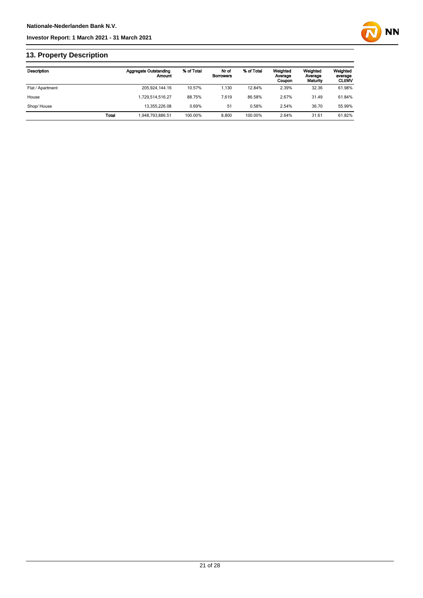

## **13. Property Description**

| Description      |       | Aggregate Outstanding<br>Amount | % of Total | Nr of<br><b>Borrowers</b> | % of Total | Weighted<br>Average<br>Coupon | Weighted<br>Average<br>Maturity | Weighted<br>average<br><b>CLtIMV</b> |
|------------------|-------|---------------------------------|------------|---------------------------|------------|-------------------------------|---------------------------------|--------------------------------------|
| Flat / Apartment |       | 205.924.144.16                  | 10.57%     | 1.130                     | 12.84%     | 2.39%                         | 32.36                           | 61.98%                               |
| House            |       | 1.729.514.516.27                | 88.75%     | 7.619                     | 86.58%     | 2.67%                         | 31.49                           | 61.84%                               |
| Shop/House       |       | 13.355.226.08                   | 0.69%      | 51                        | 0.58%      | 2.54%                         | 36.70                           | 55.99%                               |
|                  | Total | 948,793,886.51                  | 100.00%    | 8.800                     | 100.00%    | 2.64%                         | 31.61                           | 61.82%                               |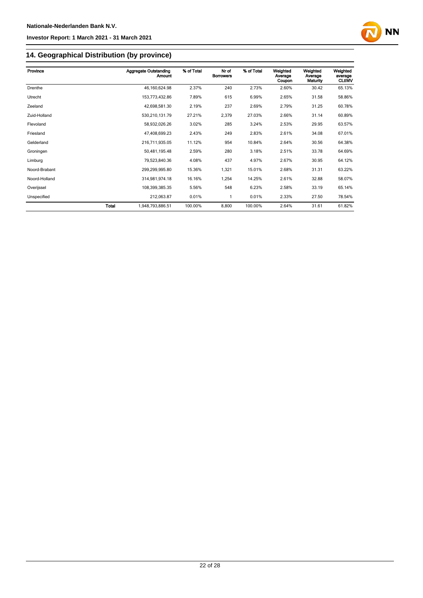

## **14. Geographical Distribution (by province)**

| Province      |       | <b>Aggregate Outstanding</b><br>Amount | % of Total | Nr of<br><b>Borrowers</b> | % of Total | Weighted<br>Average<br>Coupon | Weighted<br>Average<br>Maturity | Weighted<br>average<br><b>CLtIMV</b> |
|---------------|-------|----------------------------------------|------------|---------------------------|------------|-------------------------------|---------------------------------|--------------------------------------|
| Drenthe       |       | 46, 160, 624. 98                       | 2.37%      | 240                       | 2.73%      | 2.60%                         | 30.42                           | 65.13%                               |
| Utrecht       |       | 153,773,432.86                         | 7.89%      | 615                       | 6.99%      | 2.65%                         | 31.58                           | 58.86%                               |
| Zeeland       |       | 42,698,581.30                          | 2.19%      | 237                       | 2.69%      | 2.79%                         | 31.25                           | 60.78%                               |
| Zuid-Holland  |       | 530,210,131.79                         | 27.21%     | 2,379                     | 27.03%     | 2.66%                         | 31.14                           | 60.89%                               |
| Flevoland     |       | 58,932,026.26                          | 3.02%      | 285                       | 3.24%      | 2.53%                         | 29.95                           | 63.57%                               |
| Friesland     |       | 47,408,699.23                          | 2.43%      | 249                       | 2.83%      | 2.61%                         | 34.08                           | 67.01%                               |
| Gelderland    |       | 216,711,935.05                         | 11.12%     | 954                       | 10.84%     | 2.64%                         | 30.56                           | 64.38%                               |
| Groningen     |       | 50,481,195.48                          | 2.59%      | 280                       | 3.18%      | 2.51%                         | 33.78                           | 64.69%                               |
| Limburg       |       | 79,523,840.36                          | 4.08%      | 437                       | 4.97%      | 2.67%                         | 30.95                           | 64.12%                               |
| Noord-Brabant |       | 299,299,995.80                         | 15.36%     | 1,321                     | 15.01%     | 2.68%                         | 31.31                           | 63.22%                               |
| Noord-Holland |       | 314,981,974.18                         | 16.16%     | 1,254                     | 14.25%     | 2.61%                         | 32.88                           | 58.07%                               |
| Overijssel    |       | 108,399,385.35                         | 5.56%      | 548                       | 6.23%      | 2.58%                         | 33.19                           | 65.14%                               |
| Unspecified   |       | 212,063.87                             | 0.01%      | 1                         | 0.01%      | 2.33%                         | 27.50                           | 78.54%                               |
|               | Total | 1,948,793,886.51                       | 100.00%    | 8,800                     | 100.00%    | 2.64%                         | 31.61                           | 61.82%                               |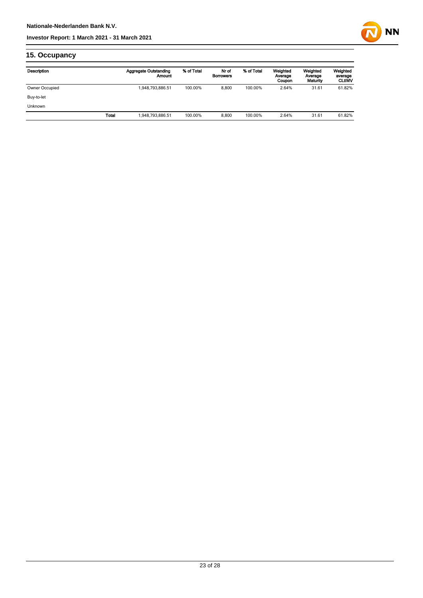

## **15. Occupancy**

| Description    |       | <b>Aggregate Outstanding</b><br>Amount | % of Total | Nr of<br><b>Borrowers</b> | % of Total | Weighted<br>Average<br>Coupon | Weighted<br>Average<br>Maturity | Weighted<br>average<br><b>CLtIMV</b> |
|----------------|-------|----------------------------------------|------------|---------------------------|------------|-------------------------------|---------------------------------|--------------------------------------|
| Owner Occupied |       | 1,948,793,886.51                       | 100.00%    | 8.800                     | 100.00%    | 2.64%                         | 31.61                           | 61.82%                               |
| Buy-to-let     |       |                                        |            |                           |            |                               |                                 |                                      |
| <b>Unknown</b> |       |                                        |            |                           |            |                               |                                 |                                      |
|                | Total | 1,948,793,886.51                       | 100.00%    | 8.800                     | 100.00%    | 2.64%                         | 31.61                           | 61.82%                               |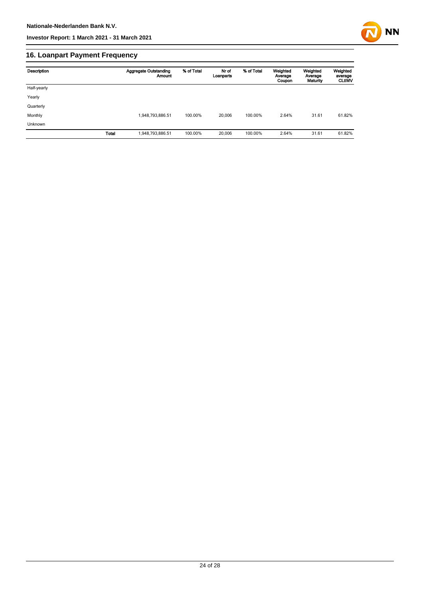

## **16. Loanpart Payment Frequency**

| Description    | <b>Aggregate Outstanding</b><br><b>Amount</b> | % of Total | Nr of<br>Loanparts | % of Total | Weighted<br>Average<br>Coupon | Weighted<br>Average<br>Maturity | Weighted<br>average<br><b>CLtIMV</b> |
|----------------|-----------------------------------------------|------------|--------------------|------------|-------------------------------|---------------------------------|--------------------------------------|
| Half-yearly    |                                               |            |                    |            |                               |                                 |                                      |
| Yearly         |                                               |            |                    |            |                               |                                 |                                      |
| Quarterly      |                                               |            |                    |            |                               |                                 |                                      |
| Monthly        | 1,948,793,886.51                              | 100.00%    | 20,006             | 100.00%    | 2.64%                         | 31.61                           | 61.82%                               |
| <b>Unknown</b> |                                               |            |                    |            |                               |                                 |                                      |
| <b>Total</b>   | 1,948,793,886.51                              | 100.00%    | 20,006             | 100.00%    | 2.64%                         | 31.61                           | 61.82%                               |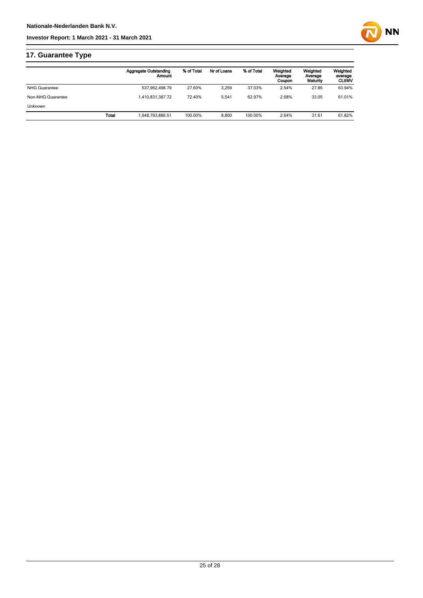

## **17. Guarantee Type**

|                      |       | Aggregate Outstanding<br>Amount | % of Total | Nr of Loans | % of Total | Weighted<br>Average<br>Coupon | Weighted<br>Average<br>Maturity | Weighted<br>average<br><b>CLtIMV</b> |
|----------------------|-------|---------------------------------|------------|-------------|------------|-------------------------------|---------------------------------|--------------------------------------|
| <b>NHG Guarantee</b> |       | 537,962,498.79                  | 27.60%     | 3.259       | 37.03%     | 2.54%                         | 27.86                           | 63.94%                               |
| Non-NHG Guarantee    |       | 1.410.831.387.72                | 72.40%     | 5.541       | 62.97%     | 2.68%                         | 33.05                           | 61.01%                               |
| <b>Unknown</b>       |       |                                 |            |             |            |                               |                                 |                                      |
|                      | Total | 1.948.793.886.51                | 100.00%    | 8.800       | 100.00%    | 2.64%                         | 31.61                           | 61.82%                               |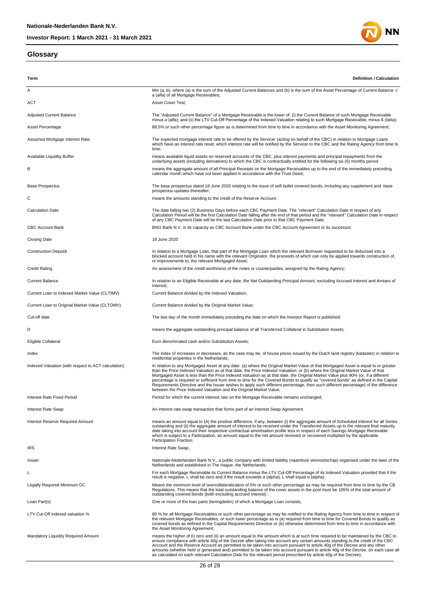## **Glossary**





| Term                                                | <b>Definition / Calculation</b>                                                                                                                                                                                                                                                                                                                                                                                                                                                                                                                                                                                                                                                                                                                             |
|-----------------------------------------------------|-------------------------------------------------------------------------------------------------------------------------------------------------------------------------------------------------------------------------------------------------------------------------------------------------------------------------------------------------------------------------------------------------------------------------------------------------------------------------------------------------------------------------------------------------------------------------------------------------------------------------------------------------------------------------------------------------------------------------------------------------------------|
| Α                                                   | Min (a, b), where (a) is the sum of the Adjusted Current Balances and (b) is the sum of the Asset Percentage of Current Balance -/-<br>a (alfa) of all Mortgage Receivables;                                                                                                                                                                                                                                                                                                                                                                                                                                                                                                                                                                                |
| ACT                                                 | Asset Cover Test;                                                                                                                                                                                                                                                                                                                                                                                                                                                                                                                                                                                                                                                                                                                                           |
| <b>Adjusted Current Balance</b>                     | The "Adjusted Current Balance" of a Mortgage Receivable is the lower of: (i) the Current Balance of such Mortgage Receivable<br>minus a (alfa); and (ii) the LTV Cut-Off Percentage of the Indexed Valuation relating to such Mortgage Receivable, minus ß (bèta);                                                                                                                                                                                                                                                                                                                                                                                                                                                                                          |
| Asset Percentage                                    | 88.5% or such other percentage figure as is determined from time to time in accordance with the Asset Monitoring Agreement;                                                                                                                                                                                                                                                                                                                                                                                                                                                                                                                                                                                                                                 |
| Assumed Mortgage Interest Rate                      | The expected mortgage interest rate to be offered by the Servicer (acting on behalf of the CBC) in relation to Mortgage Loans<br>which have an interest rate reset, which interest rate will be notified by the Servicer to the CBC and the Rating Agency from time to<br>time;                                                                                                                                                                                                                                                                                                                                                                                                                                                                             |
| <b>Available Liquidity Buffer</b>                   | means available liquid assets on reserved accounts of the CBC, plus interest payments and principal repayments from the<br>underlying assets (including derivatives) to which the CBC is contractually entitled for the following six (6) months period                                                                                                                                                                                                                                                                                                                                                                                                                                                                                                     |
| в                                                   | means the aggregate amount of all Principal Receipts on the Mortgage Receivables up to the end of the immediately preceding<br>calendar month which have not been applied in accordance with the Trust Deed;                                                                                                                                                                                                                                                                                                                                                                                                                                                                                                                                                |
| <b>Base Prospectus</b>                              | The base prospectus dated 18 June 2020 relating to the issue of soft bullet covered bonds, including any supplement and base<br>prospectus updates thereafter;                                                                                                                                                                                                                                                                                                                                                                                                                                                                                                                                                                                              |
| С                                                   | means the amounts standing to the credit of the Reserve Account;                                                                                                                                                                                                                                                                                                                                                                                                                                                                                                                                                                                                                                                                                            |
| <b>Calculation Date</b>                             | The date falling two (2) Business Days before each CBC Payment Date. The "relevant" Calculation Date in respect of any<br>Calculation Period will be the first Calculation Date falling after the end of that period and the "relevant" Calculation Date in respect<br>of any CBC Payment Date will be the last Calculation Date prior to that CBC Payment Date;                                                                                                                                                                                                                                                                                                                                                                                            |
| <b>CBC Account Bank</b>                             | BNG Bank N.V. in its capacity as CBC Account Bank under the CBC Account Agreement or its successor;                                                                                                                                                                                                                                                                                                                                                                                                                                                                                                                                                                                                                                                         |
| <b>Closing Date</b>                                 | 18 June 2020                                                                                                                                                                                                                                                                                                                                                                                                                                                                                                                                                                                                                                                                                                                                                |
| <b>Construction Deposit</b>                         | In relation to a Mortgage Loan, that part of the Mortgage Loan which the relevant Borrower requested to be disbursed into a<br>blocked account held in his name with the relevant Originator, the proceeds of which can only be applied towards construction of,<br>or improvements to, the relevant Mortgaged Asset;                                                                                                                                                                                                                                                                                                                                                                                                                                       |
| <b>Credit Rating</b>                                | An assessment of the credit worthiness of the notes or counterparties, assigned by the Rating Agency;                                                                                                                                                                                                                                                                                                                                                                                                                                                                                                                                                                                                                                                       |
| <b>Current Balance</b>                              | In relation to an Eligible Receivable at any date, the Net Outstanding Principal Amount, excluding Accrued Interest and Arrears of<br>Interest;                                                                                                                                                                                                                                                                                                                                                                                                                                                                                                                                                                                                             |
| Current Loan to Indexed Market Value (CLTIMV)       | Current Balance divided by the Indexed Valuation;                                                                                                                                                                                                                                                                                                                                                                                                                                                                                                                                                                                                                                                                                                           |
| Current Loan to Original Market Value (CLTOMV)      | Current Balance divided by the Original Market Value;                                                                                                                                                                                                                                                                                                                                                                                                                                                                                                                                                                                                                                                                                                       |
| Cut-off date                                        | The last day of the month immediately preceding the date on which the Investor Report is published;                                                                                                                                                                                                                                                                                                                                                                                                                                                                                                                                                                                                                                                         |
| D                                                   | means the aggregate outstanding principal balance of all Transferred Collateral in Substitution Assets;                                                                                                                                                                                                                                                                                                                                                                                                                                                                                                                                                                                                                                                     |
| Eligible Collateral                                 | Euro denominated cash and/or Substitution Assets;                                                                                                                                                                                                                                                                                                                                                                                                                                                                                                                                                                                                                                                                                                           |
| Index                                               | The index of increases or decreases, as the case may be, of house prices issued by the Dutch land registry (kadaster) in relation to<br>residential properties in the Netherlands;                                                                                                                                                                                                                                                                                                                                                                                                                                                                                                                                                                          |
| Indexed Valuation (with respect to ACT calculation) | In relation to any Mortgaged Asset at any date: (a) where the Original Market Value of that Mortgaged Asset is equal to or greater<br>than the Price Indexed Valuation as at that date, the Price Indexed Valuation; or (b) where the Original Market Value of that<br>Mortgaged Asset is less than the Price Indexed Valuation as at that date, the Original Market Value plus 90% (or, if a different<br>percentage is required or sufficient from time to time for the Covered Bonds to qualify as "covered bonds" as defined in the Capital<br>Requirements Directive and the Issuer wishes to apply such different percentage, then such different percentage) of the difference<br>between the Price Indexed Valuation and the Original Market Value; |
| <b>Interest Rate Fixed Period</b>                   | Period for which the current interest rate on the Mortgage Receivable remains unchanged;                                                                                                                                                                                                                                                                                                                                                                                                                                                                                                                                                                                                                                                                    |
| Interest Rate Swap                                  | An interest rate swap transaction that forms part of an Interest Swap Agreement.                                                                                                                                                                                                                                                                                                                                                                                                                                                                                                                                                                                                                                                                            |
| <b>Interest Reserve Required Amount</b>             | means an amount equal to (A) the positive difference, if any, between (i) the aggregate amount of Scheduled Interest for all Series<br>outstanding and (ii) the aggregate amount of interest to be received under the Transferred Assets up to the relevant final maturity<br>date taking into account their respective contractual amortisation profile less in respect of each Savings Mortgage Receivable<br>which is subject to a Participation, an amount equal to the net amount received or recovered multiplied by the applicable<br>Participation Fraction;                                                                                                                                                                                        |
| <b>IRS</b>                                          | Interest Rate Swap;                                                                                                                                                                                                                                                                                                                                                                                                                                                                                                                                                                                                                                                                                                                                         |
| Issuer                                              | Nationale-Nederlanden Bank N.V., a public company with limited liability (naamloze vennootschap) organised under the laws of the<br>Netherlands and established in The Hague, the Netherlands;                                                                                                                                                                                                                                                                                                                                                                                                                                                                                                                                                              |
| L                                                   | For each Mortgage Receivable its Current Balance minus the LTV Cut-Off Percentage of its Indexed Valuation provided that if the<br>result is negative, L shall be zero and if the result exceeds $\alpha$ (alpha), L shall equal $\alpha$ (alpha);                                                                                                                                                                                                                                                                                                                                                                                                                                                                                                          |
| Legally Required Minimum OC                         | Means the minimum level of overcollateralization of 5% or such other percentage as may be required from time to time by the CB<br>Regulations. This means that the total outstanding balance of the cover assets in the pool must be 105% of the total amount of<br>outstanding covered bonds (both excluding accrued interest);                                                                                                                                                                                                                                                                                                                                                                                                                            |
| Loan Part(s)                                        | One or more of the loan parts (leningdelen) of which a Mortgage Loan consists;                                                                                                                                                                                                                                                                                                                                                                                                                                                                                                                                                                                                                                                                              |
| LTV Cut-Off indexed valuation %                     | 80 % for all Mortgage Receivables or such other percentage as may be notified to the Rating Agency from time to time in respect of<br>the relevant Mortgage Receivables, or such lower percentage as is (a) required from time to time for Covered Bonds to qualify as<br>covered bonds as defined in the Capital Requirements Directive or (b) otherwise determined from time to time in accordance with<br>the Asset Monitoring Agreement;                                                                                                                                                                                                                                                                                                                |
| Mandatory Liquidity Required Amount                 | means the higher of (i) zero and (ii) an amount equal to the amount which is at such time required to be maintained by the CBC to<br>ensure compliance with article 40g of the Decree after taking into account any certain amounts standing to the credit of the CBC<br>Account and the Reserve Account as permitted to be taken into account pursuant to article 40g of the Decree and any other<br>amounts (whether held or generated and) permitted to be taken into account pursuant to article 40g of the Decree, (in each case all<br>as calculated on each relevant Calculation Date for the relevant period prescribed by article 40g of the Decree);                                                                                              |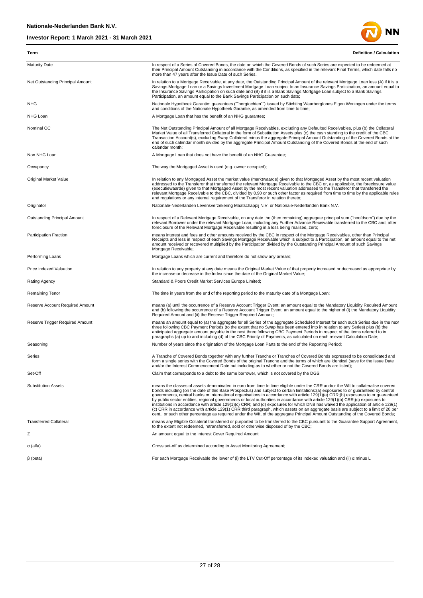

| Term                                | <b>Definition / Calculation</b>                                                                                                                                                                                                                                                                                                                                                                                                                                                                                                                                                                                                                                                                                                                                                                                                                                                                                                                              |
|-------------------------------------|--------------------------------------------------------------------------------------------------------------------------------------------------------------------------------------------------------------------------------------------------------------------------------------------------------------------------------------------------------------------------------------------------------------------------------------------------------------------------------------------------------------------------------------------------------------------------------------------------------------------------------------------------------------------------------------------------------------------------------------------------------------------------------------------------------------------------------------------------------------------------------------------------------------------------------------------------------------|
| <b>Maturity Date</b>                | In respect of a Series of Covered Bonds, the date on which the Covered Bonds of such Series are expected to be redeemed at<br>their Principal Amount Outstanding in accordance with the Conditions, as specified in the relevant Final Terms, which date falls no<br>more than 47 years after the Issue Date of such Series.                                                                                                                                                                                                                                                                                                                                                                                                                                                                                                                                                                                                                                 |
| Net Outstanding Principal Amount    | In relation to a Mortgage Receivable, at any date, the Outstanding Principal Amount of the relevant Mortgage Loan less (A) if it is a<br>Savings Mortgage Loan or a Savings Investment Mortgage Loan subject to an Insurance Savings Participation, an amount equal to<br>the Insurance Savings Participation on such date and (B) if it is a Bank Savings Mortgage Loan subject to a Bank Savings<br>Participation, an amount equal to the Bank Savings Participation on such date;                                                                                                                                                                                                                                                                                                                                                                                                                                                                         |
| <b>NHG</b>                          | Nationale Hypotheek Garantie: guarantees (""borgtochten"") issued by Stichting Waarborgfonds Eigen Woningen under the terms<br>and conditions of the Nationale Hypotheek Garantie, as amended from time to time;                                                                                                                                                                                                                                                                                                                                                                                                                                                                                                                                                                                                                                                                                                                                             |
| NHG Loan                            | A Mortgage Loan that has the benefit of an NHG guarantee;                                                                                                                                                                                                                                                                                                                                                                                                                                                                                                                                                                                                                                                                                                                                                                                                                                                                                                    |
| Nominal OC                          | The Net Outstanding Principal Amount of all Mortgage Receivables, excluding any Defaulted Receivables, plus (b) the Collateral<br>Market Value of all Transferred Collateral in the form of Substitution Assets plus (c) the cash standing to the credit of the CBC<br>Transaction Account(s), excluding Swap Collateral minus the aggregate Principal Amount Outstanding of the Covered Bonds at the<br>end of such calendar month divided by the aggregate Principal Amount Outstanding of the Covered Bonds at the end of such<br>calendar month;                                                                                                                                                                                                                                                                                                                                                                                                         |
| Non NHG Loan                        | A Mortgage Loan that does not have the benefit of an NHG Guarantee;                                                                                                                                                                                                                                                                                                                                                                                                                                                                                                                                                                                                                                                                                                                                                                                                                                                                                          |
| Occupancy                           | The way the Mortgaged Asset is used (e.g. owner occupied);                                                                                                                                                                                                                                                                                                                                                                                                                                                                                                                                                                                                                                                                                                                                                                                                                                                                                                   |
| Original Market Value               | In relation to any Mortgaged Asset the market value (marktwaarde) given to that Mortgaged Asset by the most recent valuation<br>addressed to the Transferor that transferred the relevant Mortgage Receivable to the CBC or, as applicable, the foreclosure value<br>(executiewaarde) given to that Mortgaged Asset by the most recent valuation addressed to the Transferor that transferred the<br>relevant Mortgage Receivable to the CBC, divided by 0.90 or such other factor as required from time to time by the applicable rules<br>and regulations or any internal requirement of the Transferor in relation thereto;                                                                                                                                                                                                                                                                                                                               |
| Originator                          | Nationale-Nederlanden Levensverzekering Maatschappij N.V. or Nationale-Nederlanden Bank N.V.                                                                                                                                                                                                                                                                                                                                                                                                                                                                                                                                                                                                                                                                                                                                                                                                                                                                 |
| <b>Outstanding Principal Amount</b> | In respect of a Relevant Mortgage Receivable, on any date the (then remaining) aggregate principal sum ("hoofdsom") due by the<br>relevant Borrower under the relevant Mortgage Loan, including any Further Advance Receivable transferred to the CBC and, after<br>foreclosure of the Relevant Mortgage Receivable resulting in a loss being realised, zero;                                                                                                                                                                                                                                                                                                                                                                                                                                                                                                                                                                                                |
| <b>Participation Fraction</b>       | means interest and fees and other amounts received by the CBC in respect of the Mortgage Receivables, other than Principal<br>Receipts and less in respect of each Savings Mortgage Receivable which is subject to a Participation, an amount equal to the net<br>amount received or recovered multiplied by the Participation divided by the Outstanding Principal Amount of such Savings<br>Mortgage Receivable;                                                                                                                                                                                                                                                                                                                                                                                                                                                                                                                                           |
| Performing Loans                    | Mortgage Loans which are current and therefore do not show any arrears;                                                                                                                                                                                                                                                                                                                                                                                                                                                                                                                                                                                                                                                                                                                                                                                                                                                                                      |
| Price Indexed Valuation             | In relation to any property at any date means the Original Market Value of that property increased or decreased as appropriate by<br>the increase or decrease in the Index since the date of the Original Market Value;                                                                                                                                                                                                                                                                                                                                                                                                                                                                                                                                                                                                                                                                                                                                      |
| Rating Agency                       | Standard & Poors Credit Market Services Europe Limited;                                                                                                                                                                                                                                                                                                                                                                                                                                                                                                                                                                                                                                                                                                                                                                                                                                                                                                      |
| <b>Remaining Tenor</b>              | The time in years from the end of the reporting period to the maturity date of a Mortgage Loan;                                                                                                                                                                                                                                                                                                                                                                                                                                                                                                                                                                                                                                                                                                                                                                                                                                                              |
| Reserve Account Required Amount     | means (a) until the occurrence of a Reserve Account Trigger Event: an amount equal to the Mandatory Liquidity Required Amount<br>and (b) following the occurrence of a Reserve Account Trigger Event: an amount equal to the higher of (i) the Mandatory Liquidity<br>Required Amount and (ii) the Reserve Trigger Required Amount;                                                                                                                                                                                                                                                                                                                                                                                                                                                                                                                                                                                                                          |
| Reserve Trigger Required Amount     | means an amount equal to (a) the aggregate for all Series of the aggregate Scheduled Interest for each such Series due in the next<br>three following CBC Payment Periods (to the extent that no Swap has been entered into in relation to any Series) plus (b) the<br>anticipated aggregate amount payable in the next three following CBC Payment Periods in respect of the items referred to in<br>paragraphs (a) up to and including (d) of the CBC Priority of Payments, as calculated on each relevant Calculation Date;                                                                                                                                                                                                                                                                                                                                                                                                                               |
| Seasoning                           | Number of years since the origination of the Mortgage Loan Parts to the end of the Reporting Period;                                                                                                                                                                                                                                                                                                                                                                                                                                                                                                                                                                                                                                                                                                                                                                                                                                                         |
| Series                              | A Tranche of Covered Bonds together with any further Tranche or Tranches of Covered Bonds expressed to be consolidated and<br>form a single series with the Covered Bonds of the original Tranche and the terms of which are identical (save for the Issue Date<br>and/or the Interest Commencement Date but including as to whether or not the Covered Bonds are listed);                                                                                                                                                                                                                                                                                                                                                                                                                                                                                                                                                                                   |
| Set-Off                             | Claim that corresponds to a debt to the same borrower, which is not covered by the DGS;                                                                                                                                                                                                                                                                                                                                                                                                                                                                                                                                                                                                                                                                                                                                                                                                                                                                      |
| <b>Substitution Assets</b>          | means the classes of assets denominated in euro from time to time eligible under the CRR and/or the Wft to collateralise covered<br>bonds including (on the date of this Base Prospectus) and subject to certain limitations:(a) exposures to or guaranteed by central<br>governments, central banks or international organisations in accordance with article 129(1)(a) CRR;(b) exposures to or quaranteed<br>by public sector entities, regional governments or local authorities in accordance with article 129(1)(b) CRR;(c) exposures to<br>institutions in accordance with article 129(1)(c) CRR; and (d) exposures for which DNB has waived the application of article 129(1)<br>(c) CRR in accordance with article 129(1) CRR third paragraph, which assets on an aggregate basis are subject to a limit of 20 per<br>cent., or such other percentage as required under the Wft, of the aggregate Principal Amount Outstanding of the Covered Bonds; |
| <b>Transferred Collateral</b>       | means any Eligible Collateral transferred or purported to be transferred to the CBC pursuant to the Guarantee Support Agreement,<br>to the extent not redeemed, retransferred, sold or otherwise disposed of by the CBC;                                                                                                                                                                                                                                                                                                                                                                                                                                                                                                                                                                                                                                                                                                                                     |
| Ζ                                   | An amount equal to the Interest Cover Required Amount                                                                                                                                                                                                                                                                                                                                                                                                                                                                                                                                                                                                                                                                                                                                                                                                                                                                                                        |
| $\alpha$ (alfa)                     | Gross set-off as determined according to Asset Monitoring Agreement;                                                                                                                                                                                                                                                                                                                                                                                                                                                                                                                                                                                                                                                                                                                                                                                                                                                                                         |
| $\beta$ (beta)                      | For each Mortgage Receivable the lower of (i) the LTV Cut-Off percentage of its indexed valuation and (ii) $\alpha$ minus L                                                                                                                                                                                                                                                                                                                                                                                                                                                                                                                                                                                                                                                                                                                                                                                                                                  |